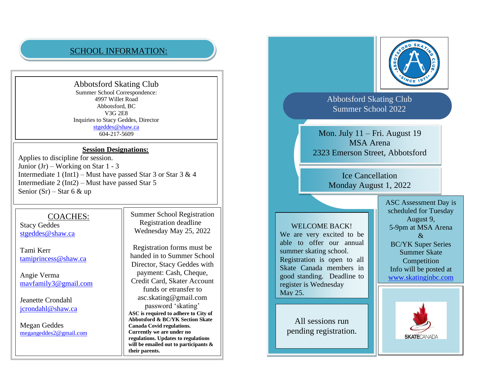## SCHOOL INFORMATION:

Abbotsford Skating Club Summer School Correspondence: 4997 Willet Road Abbotsford, BC V3G 2E8 Inquiries to Stacy Geddes, Director [stgeddes@shaw.ca](mailto:stgeddes@shaw.ca) 604-217-5609

## **Session Designations:**

Applies to discipline for session. Junior (Jr) – Working on Star 1 - 3 Intermediate 1 (Int1) – Must have passed Star 3 or Star  $3 & 4$ Intermediate 2 (Int2) – Must have passed Star 5 Senior  $(Sr)$  – Star 6 & up

## COACHES:

Stacy Geddes [stgeddes@shaw.ca](mailto:stgeddes@shaw.ca)

Tami Kerr [tamiprincess@shaw.ca](mailto:tamiprincess@shaw.ca)

Angie Verma [mavfamily3@gmail.com](mailto:mavfamily3@gmail.com)

Jeanette Crondahl [jcrondahl@shaw.ca](mailto:jcrondahl@shaw.ca)

Megan Geddes [megangeddes2@gmail.com](mailto:megangeddes2@gmail.com) Summer School Registration Registration deadline Wednesday May 25, 2022

Registration forms must be handed in to Summer School Director, Stacy Geddes with payment: Cash, Cheque, Credit Card, Skater Account funds or etransfer to asc.skating@gmail.com password 'skating' **ASC is required to adhere to City of Abbotsford & BC/YK Section Skate Canada Covid regulations. Currently we are under no regulations. Updates to regulations will be emailed out to participants & their parents.** 



Abbotsford Skating Club Summer School 2022

Mon. July 11 – Fri. August 19 MSA Arena 2323 Emerson Street, Abbotsford

> Ice Cancellation Monday August 1, 2022

WELCOME BACK!

We are very excited to be able to offer our annual summer skating school. Registration is open to all Skate Canada members in good standing. Deadline to register is Wednesday May 25.

All sessions run pending registration. ASC Assessment Day is scheduled for Tuesday August 9, 5-9pm at MSA Arena  $\mathcal{R}_{\mathcal{L}}$ BC/YK Super Series Summer Skate Competition Info will be posted at [www.skatinginbc.com](http://www.skatinginbc.com/)